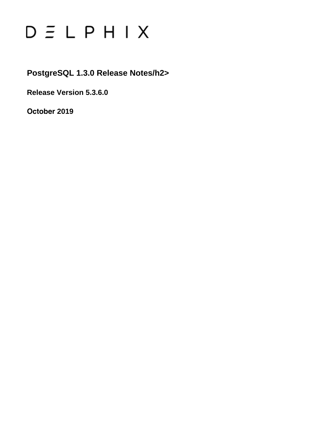# $D \subseteq L$   $P$   $H$   $I$   $X$

### **PostgreSQL 1.3.0 Release Notes/h2>**

**Release Version 5.3.6.0**

**October 2019**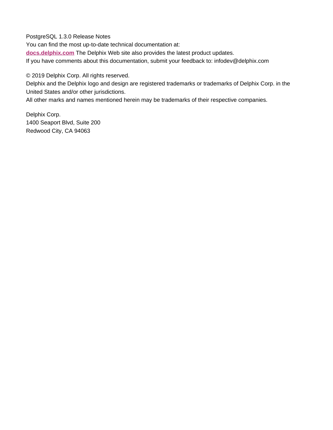PostgreSQL 1.3.0 Release Notes

You can find the most up-to-date technical documentation at:

**[docs.delphix.com](http://docs.delphix.com)** The Delphix Web site also provides the latest product updates.

If you have comments about this documentation, submit your feedback to: infodev@delphix.com

© 2019 Delphix Corp. All rights reserved.

Delphix and the Delphix logo and design are registered trademarks or trademarks of Delphix Corp. in the United States and/or other jurisdictions.

All other marks and names mentioned herein may be trademarks of their respective companies.

Delphix Corp. 1400 Seaport Blvd, Suite 200 Redwood City, CA 94063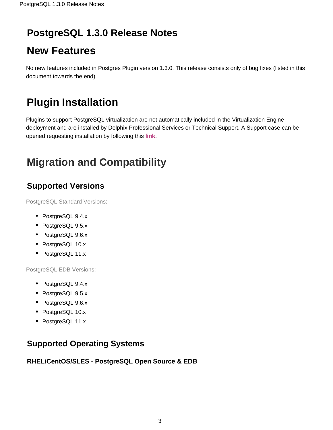# **PostgreSQL 1.3.0 Release Notes**

# **New Features**

No new features included in Postgres Plugin version 1.3.0. This release consists only of bug fixes (listed in this document towards the end).

# **Plugin Installation**

Plugins to support PostgreSQL virtualization are not automatically included in the Virtualization Engine deployment and are installed by Delphix Professional Services or Technical Support. A Support case can be opened requesting installation by following this **[link](http://support-tickets.delphix.com/)**.

# **Migration and Compatibility**

### **Supported Versions**

PostgreSQL Standard Versions:

- PostgreSQL 9.4.x
- PostgreSQL 9.5.x
- PostgreSQL 9.6.x
- PostgreSQL 10.x
- PostgreSQL 11.x

PostgreSQL EDB Versions:

- PostgreSQL 9.4.x
- PostgreSQL 9.5.x
- PostgreSQL 9.6.x
- PostgreSQL 10.x
- PostgreSQL 11.x

### **Supported Operating Systems**

#### **RHEL/CentOS/SLES - PostgreSQL Open Source & EDB**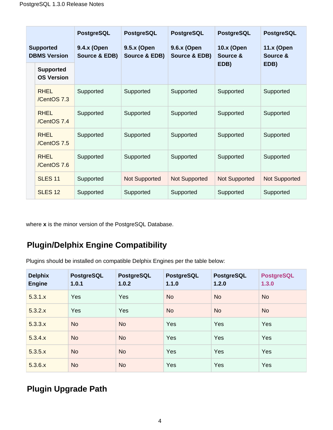|                                         |                                       | <b>PostgreSQL</b>            | <b>PostgreSQL</b>            | <b>PostgreSQL</b>            | <b>PostgreSQL</b>             | <b>PostgreSQL</b>             |
|-----------------------------------------|---------------------------------------|------------------------------|------------------------------|------------------------------|-------------------------------|-------------------------------|
| <b>Supported</b><br><b>DBMS Version</b> |                                       | 9.4.x (Open<br>Source & EDB) | 9.5.x (Open<br>Source & EDB) | 9.6.x (Open<br>Source & EDB) | <b>10.x (Open</b><br>Source & | <b>11.x (Open</b><br>Source & |
|                                         | <b>Supported</b><br><b>OS Version</b> |                              |                              |                              | EDB)                          | EDB)                          |
|                                         | <b>RHEL</b><br>/CentOS 7.3            | Supported                    | Supported                    | Supported                    | Supported                     | Supported                     |
|                                         | <b>RHEL</b><br>/CentOS 7.4            | Supported                    | Supported                    | Supported                    | Supported                     | Supported                     |
|                                         | <b>RHEL</b><br>/CentOS 7.5            | Supported                    | Supported                    | Supported                    | Supported                     | Supported                     |
|                                         | <b>RHEL</b><br>/CentOS 7.6            | Supported                    | Supported                    | Supported                    | Supported                     | Supported                     |
|                                         | <b>SLES 11</b>                        | Supported                    | <b>Not Supported</b>         | <b>Not Supported</b>         | <b>Not Supported</b>          | <b>Not Supported</b>          |
|                                         | SLES <sub>12</sub>                    | Supported                    | Supported                    | Supported                    | Supported                     | Supported                     |

where **x** is the minor version of the PostgreSQL Database.

### **Plugin/Delphix Engine Compatibility**

Plugins should be installed on compatible Delphix Engines per the table below:

| <b>Delphix</b><br><b>Engine</b> | <b>PostgreSQL</b><br>1.0.1 | <b>PostgreSQL</b><br>1.0.2 | <b>PostgreSQL</b><br>1.1.0 | <b>PostgreSQL</b><br>1.2.0 | <b>PostgreSQL</b><br>1.3.0 |
|---------------------------------|----------------------------|----------------------------|----------------------------|----------------------------|----------------------------|
| 5.3.1.x                         | Yes                        | Yes                        | <b>No</b>                  | <b>No</b>                  | <b>No</b>                  |
| 5.3.2.x                         | Yes                        | Yes                        | <b>No</b>                  | <b>No</b>                  | <b>No</b>                  |
| 5.3.3.x                         | <b>No</b>                  | <b>No</b>                  | Yes                        | Yes                        | Yes                        |
| 5.3.4.x                         | <b>No</b>                  | <b>No</b>                  | Yes                        | Yes                        | Yes                        |
| 5.3.5.x                         | <b>No</b>                  | <b>No</b>                  | Yes                        | Yes                        | Yes                        |
| 5.3.6.x                         | <b>No</b>                  | <b>No</b>                  | Yes                        | Yes                        | Yes                        |

### **Plugin Upgrade Path**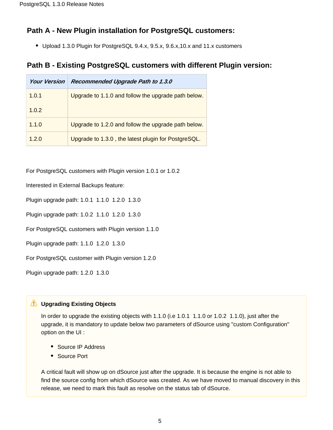#### **Path A - New Plugin installation for PostgreSQL customers:**

Upload 1.3.0 Plugin for PostgreSQL 9.4.x, 9.5.x, 9.6.x,10.x and 11.x customers

#### **Path B - Existing PostgreSQL customers with different Plugin version:**

| <b>Your Version</b> | Recommended Upgrade Path to 1.3.0                   |
|---------------------|-----------------------------------------------------|
| 1.0.1               | Upgrade to 1.1.0 and follow the upgrade path below. |
| 1.0.2               |                                                     |
| 1.1.0               | Upgrade to 1.2.0 and follow the upgrade path below. |
| 1.2.0               | Upgrade to 1.3.0, the latest plugin for PostgreSQL. |

For PostgreSQL customers with Plugin version 1.0.1 or 1.0.2

Interested in External Backups feature:

Plugin upgrade path: 1.0.1 1.1.0 1.2.0 1.3.0

Plugin upgrade path: 1.0.2 1.1.0 1.2.0 1.3.0

For PostgreSQL customers with Plugin version 1.1.0

Plugin upgrade path: 1.1.0 1.2.0 1.3.0

For PostgreSQL customer with Plugin version 1.2.0

Plugin upgrade path: 1.2.0 1.3.0

#### **Upgrading Existing Objects**

In order to upgrade the existing objects with 1.1.0 (i.e 1.0.1 1.1.0 or 1.0.2 1.1.0), just after the upgrade, it is mandatory to update below two parameters of dSource using "custom Configuration" option on the UI :

- Source IP Address
- Source Port

A critical fault will show up on dSource just after the upgrade. It is because the engine is not able to find the source config from which dSource was created. As we have moved to manual discovery in this release, we need to mark this fault as resolve on the status tab of dSource.